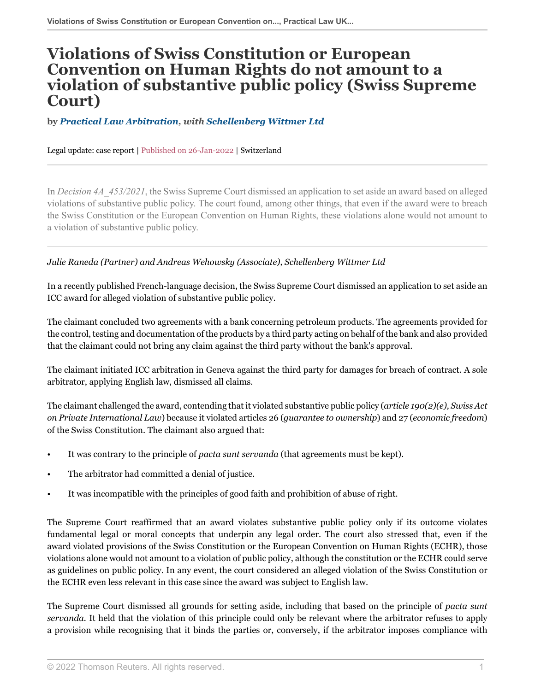## **Violations of Swiss Constitution or European Convention on Human Rights do not amount to a violation of substantive public policy (Swiss Supreme Court)**

**by** *[Practical Law Arbitration](https://uk.practicallaw.thomsonreuters.com/Browse/Home/About/OurteamArbitration ), with [Schellenberg Wittmer Ltd](https://www.swlegal.ch/ )*

Legal update: case report | Published on 26-Jan-2022 | Switzerland

In *Decision 4A\_453/2021*, the Swiss Supreme Court dismissed an application to set aside an award based on alleged violations of substantive public policy. The court found, among other things, that even if the award were to breach the Swiss Constitution or the European Convention on Human Rights, these violations alone would not amount to a violation of substantive public policy.

## *Julie Raneda (Partner) and Andreas Wehowsky (Associate), Schellenberg Wittmer Ltd*

In a recently published French-language decision, the Swiss Supreme Court dismissed an application to set aside an ICC award for alleged violation of substantive public policy.

The claimant concluded two agreements with a bank concerning petroleum products. The agreements provided for the control, testing and documentation of the products by a third party acting on behalf of the bank and also provided that the claimant could not bring any claim against the third party without the bank's approval.

The claimant initiated ICC arbitration in Geneva against the third party for damages for breach of contract. A sole arbitrator, applying English law, dismissed all claims.

The claimant challenged the award, contending that it violated substantive public policy (*article 190(2)(e), Swiss Act on Private International Law*) because it violated articles 26 (*guarantee to ownership*) and 27 (*economic freedom*) of the Swiss Constitution. The claimant also argued that:

- It was contrary to the principle of *pacta sunt servanda* (that agreements must be kept).
- The arbitrator had committed a denial of justice.
- It was incompatible with the principles of good faith and prohibition of abuse of right.

The Supreme Court reaffirmed that an award violates substantive public policy only if its outcome violates fundamental legal or moral concepts that underpin any legal order. The court also stressed that, even if the award violated provisions of the Swiss Constitution or the European Convention on Human Rights (ECHR), those violations alone would not amount to a violation of public policy, although the constitution or the ECHR could serve as guidelines on public policy. In any event, the court considered an alleged violation of the Swiss Constitution or the ECHR even less relevant in this case since the award was subject to English law.

The Supreme Court dismissed all grounds for setting aside, including that based on the principle of *pacta sunt servanda.* It held that the violation of this principle could only be relevant where the arbitrator refuses to apply a provision while recognising that it binds the parties or, conversely, if the arbitrator imposes compliance with